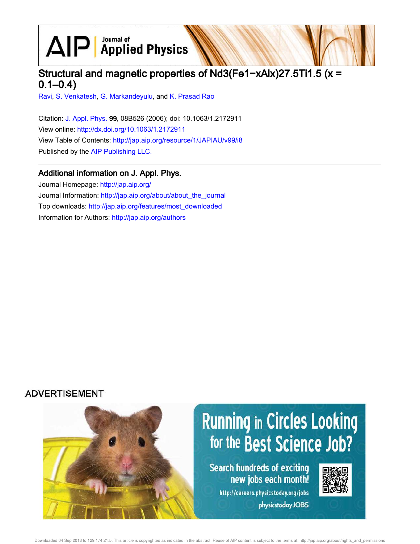$\text{AlP}$  Applied Physics

# Structural and magnetic properties of Nd3(Fe1−xAlx)27.5Ti1.5 (x =  $0.1 - 0.4$

Ravi, S. Venkatesh, G. Markandeyulu, and K. Prasad Rao

Citation: J. Appl. Phys. 99, 08B526 (2006); doi: 10.1063/1.2172911 View online: http://dx.doi.org/10.1063/1.2172911 View Table of Contents: http://jap.aip.org/resource/1/JAPIAU/v99/i8 Published by the AIP Publishing LLC.

# Additional information on J. Appl. Phys.

Journal Homepage: http://jap.aip.org/ Journal Information: http://jap.aip.org/about/about\_the\_journal Top downloads: http://jap.aip.org/features/most\_downloaded Information for Authors: http://jap.aip.org/authors

# **ADVERTISEMENT**

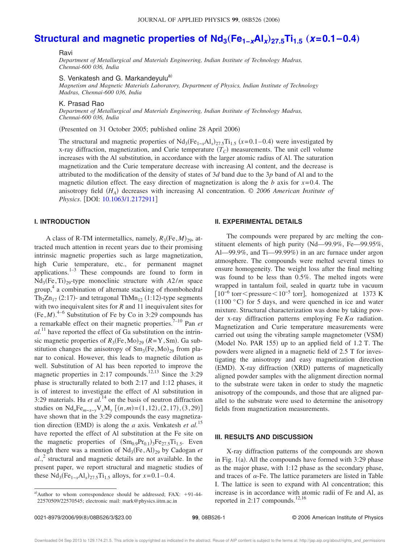# **Structural and magnetic properties of Nd<sub>3</sub>(Fe<sub>1−x</sub>Al<sub>x</sub>)<sub>27.5</sub>Ti<sub>1.5</sub> (x=0.1−0.4)**

### Ravi

*Department of Metallurgical and Materials Engineering, Indian Institute of Technology Madras, Chennai-600 036, India*

S. Venkatesh and G. Markandevulu<sup>a)</sup>

*Magnetism and Magnetic Materials Laboratory, Department of Physics, Indian Institute of Technology Madras, Chennai-600 036, India*

#### K. Prasad Rao

*Department of Metallurgical and Materials Engineering, Indian Institute of Technology Madras, Chennai-600 036, India*

(Presented on 31 October 2005; published online 28 April 2006)

The structural and magnetic properties of  $Nd_3(Fe_{1-x}Al_x)_{27.5}Ti_{1.5}$  ( $x=0.1-0.4$ ) were investigated by  $x$ -ray diffraction, magnetization, and Curie temperature  $(T_C)$  measurements. The unit cell volume increases with the Al substitution, in accordance with the larger atomic radius of Al. The saturation magnetization and the Curie temperature decrease with increasing Al content, and the decrease is attributed to the modification of the density of states of 3*d* band due to the 3*p* band of Al and to the magnetic dilution effect. The easy direction of magnetization is along the *b* axis for  $x=0.4$ . The anisotropy field ( $H_A$ ) decreases with increasing Al concentration. © 2006 American Institute of *Physics.* [DOI: 10.1063/1.2172911]

# **I. INTRODUCTION**

A class of R-TM intermetallics, namely,  $R_3$ (Fe,  $M$ )<sub>29</sub>, attracted much attention in recent years due to their promising intrinsic magnetic properties such as large magnetization, high Curie temperature, etc., for permanent magnet applications. $1-3$  These compounds are found to form in Nd<sub>3</sub>(Fe, Ti)<sub>29</sub>-type monoclinic structure with  $A2/m$  space group, 4 a combination of alternate stacking of rhombohedral Th<sub>2</sub>Zn<sub>17</sub> (2:17)- and tetragonal ThMn<sub>12</sub> (1:12)-type segments with two inequivalent sites for *R* and 11 inequivalent sites for  $(Fe, M)$ .<sup>4-6</sup> Substitution of Fe by Co in 3:29 compounds has a remarkable effect on their magnetic properties.7–10 Pan *et*  $al.$ <sup>11</sup> have reported the effect of Ga substitution on the intrinsic magnetic properties of  $R_3$ (Fe,Mo)<sub>29</sub> (R=Y,Sm). Ga substitution changes the anisotropy of  $Sm_3(Fe, Mo)_{29}$  from planar to conical. However, this leads to magnetic dilution as well. Substitution of Al has been reported to improve the magnetic properties in 2:17 compounds.<sup>12,13</sup> Since the 3:29 phase is structurally related to both 2:17 and 1:12 phases, it is of interest to investigate the effect of Al substitution in 3:29 materials. Hu *et al.*<sup>14</sup> on the basis of neutron diffraction studies on  $\text{Nd}_n\text{Fe}_{m-x-y}\text{V}_x\text{M}_y$  [(*n*,*m*)=(1, 12), (2, 17), (3, 29)] have shown that in the 3:29 compounds the easy magnetization direction (EMD) is along the *a* axis. Venkatesh *et al.*<sup>15</sup> have reported the effect of Al substitution at the Fe site on the magnetic properties of  $(Sm_{0.9}Pr_{0.1})_3Fe_{27.5}Ti_{1.5}$ . Even though there was a mention of  $Nd_3(Fe, Al)_{29}$  by Cadogan *et al.*, 2 structural and magnetic details are not available. In the present paper, we report structural and magnetic studies of these  $Nd_3(Fe_{1-x}Al_x)_{27.5}Ti_{1.5}$  alloys, for  $x=0.1-0.4$ .

#### **II. EXPERIMENTAL DETAILS**

The compounds were prepared by arc melting the constituent elements of high purity Nd—99.9%, Fe—99.95%, Al—99.9%, and Ti—99.99%) in an arc furnace under argon atmosphere. The compounds were melted several times to ensure homogeneity. The weight loss after the final melting was found to be less than 0.5%. The melted ingots were wrapped in tantalum foil, sealed in quartz tube in vacuum  $10^{-6}$  torr  $\le$  pressure $\le$ 10<sup>-5</sup> torr], homogenized at 1373 K  $(1100 °C)$  for 5 days, and were quenched in ice and water mixture. Structural characterization was done by taking powder x-ray diffraction patterns employing Fe  $K\alpha$  radiation. Magnetization and Curie temperature measurements were carried out using the vibrating sample magnetometer (VSM) (Model No. PAR 155) up to an applied field of 1.2 T. The powders were aligned in a magnetic field of 2.5 T for investigating the anisotropy and easy magnetization direction (EMD). X-ray diffraction (XRD) patterns of magnetically aligned powder samples with the alignment direction normal to the substrate were taken in order to study the magnetic anisotropy of the compounds, and those that are aligned parallel to the substrate were used to determine the anisotropy fields from magnetization measurements.

### **III. RESULTS AND DISCUSSION**

X-ray diffraction patterns of the compounds are shown in Fig.  $1(a)$ . All the compounds have formed with 3:29 phase as the major phase, with 1:12 phase as the secondary phase, and traces of  $\alpha$ -Fe. The lattice parameters are listed in Table I. The lattice is seen to expand with Al concentration; this increase is in accordance with atomic radii of Fe and Al, as reported in 2:17 compounds.<sup>12,16</sup>

a)Author to whom correspondence should be addressed; FAX:  $+91-44-$ 22570509/22570545; electronic mail: mark@physics.iitm.ac.in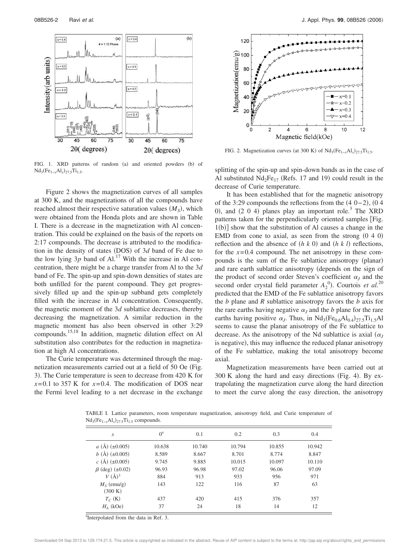

FIG. 1. XRD patterns of random (a) and oriented powders (b) of Nd<sub>3</sub>(Fe<sub>1-*x*</sub>Al<sub>*x*</sub>)<sub>27.5</sub>Ti<sub>1.5</sub>.

Figure 2 shows the magnetization curves of all samples at 300 K, and the magnetizations of all the compounds have reached almost their respective saturation values  $(M<sub>S</sub>)$ , which were obtained from the Honda plots and are shown in Table I. There is a decrease in the magnetization with Al concentration. This could be explained on the basis of the reports on 2:17 compounds. The decrease is attributed to the modification in the density of states (DOS) of 3*d* band of Fe due to the low lying  $3p$  band of Al.<sup>17</sup> With the increase in Al concentration, there might be a charge transfer from Al to the 3*d* band of Fe. The spin-up and spin-down densities of states are both unfilled for the parent compound. They get progressively filled up and the spin-up subband gets completely filled with the increase in Al concentration. Consequently, the magnetic moment of the 3*d* sublattice decreases, thereby decreasing the magnetization. A similar reduction in the magnetic moment has also been observed in other 3:29 compounds.15,18 In addition, magnetic dilution effect on Al substitution also contributes for the reduction in magnetization at high Al concentrations.

The Curie temperature was determined through the magnetization measurements carried out at a field of 50 Oe (Fig. 3). The Curie temperature is seen to decrease from 420 K for  $x=0.1$  to 357 K for  $x=0.4$ . The modification of DOS near the Fermi level leading to a net decrease in the exchange



FIG. 2. Magnetization curves (at 300 K) of  $Nd_3(Fe_{1-x}Al_x)_{27.5}Ti_{1.5}$ .

splitting of the spin-up and spin-down bands as in the case of Al substituted  $Nd_2Fe_{17}$  (Refs. 17 and 19) could result in the decrease of Curie temperature.

It has been established that for the magnetic anisotropy of the 3:29 compounds the reflections from the  $(4\ 0-2)$ ,  $(0\ 4)$ 0), and  $(2\ 0\ 4)$  planes play an important role.<sup>3</sup> The XRD patterns taken for the perpendicularly oriented samples [Fig.  $1(b)$ ] show that the substitution of Al causes a change in the EMD from cone to axial, as seen from the strong  $(0, 4, 0)$ reflection and the absence of  $(h k 0)$  and  $(h k l)$  reflections, for the  $x=0.4$  compound. The net anisotropy in these compounds is the sum of the Fe sublattice anisotropy (planar) and rare earth sublattice anisotropy depends on the sign of the product of second order Steven's coefficient  $\alpha_j$  and the second order crystal field parameter  $A_2^0$ ). Courtois *et al.*<sup>20</sup> predicted that the EMD of the Fe sublattice anisotropy favors the *b* plane and *R* sublattice anisotropy favors the *b* axis for the rare earths having negative  $\alpha_j$  and the *b* plane for the rare earths having positive  $\alpha_j$ . Thus, in  $Nd_3(Fe_{0.6}Al_{0.4})_{27.5}Ti_{1.5}Al$ seems to cause the planar anisotropy of the Fe sublattice to decrease. As the anisotropy of the Nd sublattice is axial  $(\alpha_J)$ is negative), this may influence the reduced planar anisotropy of the Fe sublattice, making the total anisotropy become axial.

Magnetization measurements have been carried out at  $300$  K along the hard and easy directions (Fig. 4). By extrapolating the magnetization curve along the hard direction to meet the curve along the easy direction, the anisotropy

TABLE I. Lattice parameters, room temperature magnetization, anisotropy field, and Curie temperature of Nd<sub>3</sub>(Fe<sub>1-*x*</sub>Al<sub>*x*</sub>)<sub>27.5</sub>Ti<sub>1.5</sub> compounds.

| $\mathcal{X}$                  | $0^a$  | 0.1    | 0.2    | 0.3    | 0.4    |
|--------------------------------|--------|--------|--------|--------|--------|
| a (Å) $(\pm 0.005)$            | 10.638 | 10.740 | 10.794 | 10.855 | 10.942 |
| b (Å) $(\pm 0.005)$            | 8.589  | 8.667  | 8.701  | 8.774  | 8.847  |
| c (Å) $(\pm 0.005)$            | 9.745  | 9.885  | 10.015 | 10.097 | 10.110 |
| $\beta$ (deg) ( $\pm 0.02$ )   | 96.93  | 96.98  | 97.02  | 96.06  | 97.09  |
| $V(A)^3$                       | 884    | 913    | 933    | 956    | 971    |
| $M_{\rm S}$ (emu/g)<br>(300 K) | 143    | 122    | 116    | 87     | 63     |
| $T_C$ (K)                      | 437    | 420    | 415    | 376    | 357    |
| $H_A$ (kOe)                    | 37     | 24     | 18     | 14     | 12     |

<sup>a</sup>Interpolated from the data in Ref. 3.